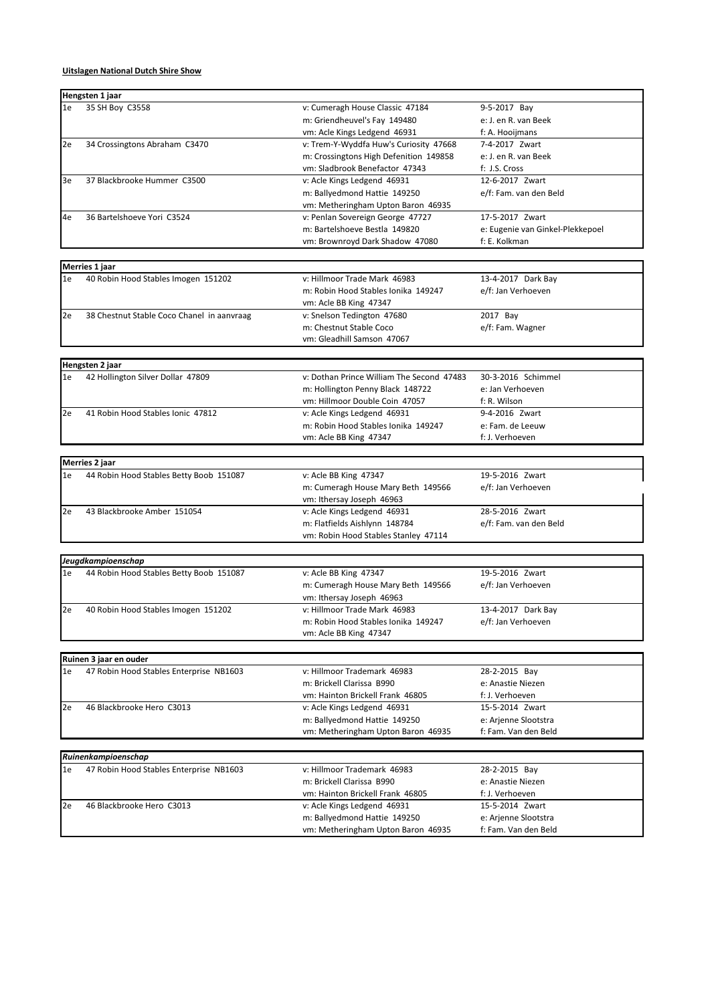## **Uitslagen National Dutch Shire Show**

|    | Hengsten 1 jaar                                      |                                                                    |                                                   |
|----|------------------------------------------------------|--------------------------------------------------------------------|---------------------------------------------------|
| 1e | 35 SH Boy C3558                                      | v: Cumeragh House Classic 47184                                    | 9-5-2017 Bay                                      |
|    |                                                      | m: Griendheuvel's Fay 149480                                       | e: J. en R. van Beek                              |
|    |                                                      | vm: Acle Kings Ledgend 46931                                       | f: A. Hooijmans                                   |
| 2e | 34 Crossingtons Abraham C3470                        | v: Trem-Y-Wyddfa Huw's Curiosity 47668                             | 7-4-2017 Zwart                                    |
|    |                                                      | m: Crossingtons High Defenition 149858                             | e: J. en R. van Beek                              |
|    |                                                      | vm: Sladbrook Benefactor 47343                                     | f: J.S. Cross                                     |
| 3e | 37 Blackbrooke Hummer C3500                          | v: Acle Kings Ledgend 46931                                        | 12-6-2017 Zwart                                   |
|    |                                                      | m: Ballyedmond Hattie 149250                                       | e/f: Fam. van den Beld                            |
|    |                                                      | vm: Metheringham Upton Baron 46935                                 |                                                   |
| 4e | 36 Bartelshoeve Yori C3524                           | v: Penlan Sovereign George 47727                                   | 17-5-2017 Zwart                                   |
|    |                                                      | m: Bartelshoeve Bestla 149820<br>vm: Brownroyd Dark Shadow 47080   | e: Eugenie van Ginkel-Plekkepoel<br>f: E. Kolkman |
|    |                                                      |                                                                    |                                                   |
|    | Merries 1 jaar                                       |                                                                    |                                                   |
| 1e | 40 Robin Hood Stables Imogen 151202                  | v: Hillmoor Trade Mark 46983                                       | 13-4-2017 Dark Bay                                |
|    |                                                      | m: Robin Hood Stables Ionika 149247                                | e/f: Jan Verhoeven                                |
|    |                                                      | vm: Acle BB King 47347                                             |                                                   |
| 2e | 38 Chestnut Stable Coco Chanel in aanvraag           | v: Snelson Tedington 47680                                         | 2017 Bay                                          |
|    |                                                      | m: Chestnut Stable Coco                                            | e/f: Fam. Wagner                                  |
|    |                                                      | vm: Gleadhill Samson 47067                                         |                                                   |
|    |                                                      |                                                                    |                                                   |
| 1e | Hengsten 2 jaar<br>42 Hollington Silver Dollar 47809 | v: Dothan Prince William The Second 47483                          | 30-3-2016 Schimmel                                |
|    |                                                      | m: Hollington Penny Black 148722                                   | e: Jan Verhoeven                                  |
|    |                                                      | vm: Hillmoor Double Coin 47057                                     | f: R. Wilson                                      |
| 2e | 41 Robin Hood Stables Ionic 47812                    | v: Acle Kings Ledgend 46931                                        | 9-4-2016 Zwart                                    |
|    |                                                      | m: Robin Hood Stables Ionika 149247                                | e: Fam. de Leeuw                                  |
|    |                                                      | vm: Acle BB King 47347                                             | f: J. Verhoeven                                   |
|    |                                                      |                                                                    |                                                   |
|    | Merries 2 jaar                                       |                                                                    |                                                   |
| 1e | 44 Robin Hood Stables Betty Boob 151087              | v: Acle BB King 47347                                              | 19-5-2016 Zwart                                   |
|    |                                                      | m: Cumeragh House Mary Beth 149566                                 | e/f: Jan Verhoeven                                |
|    |                                                      | vm: Ithersay Joseph 46963                                          |                                                   |
| 2e | 43 Blackbrooke Amber 151054                          | v: Acle Kings Ledgend 46931                                        | 28-5-2016 Zwart                                   |
|    |                                                      | m: Flatfields Aishlynn 148784                                      | e/f: Fam. van den Beld                            |
|    |                                                      | vm: Robin Hood Stables Stanley 47114                               |                                                   |
|    | Jeugdkampioenschap                                   |                                                                    |                                                   |
| 1e | 44 Robin Hood Stables Betty Boob 151087              | v: Acle BB King 47347                                              | 19-5-2016 Zwart                                   |
|    |                                                      | m: Cumeragh House Mary Beth 149566                                 | e/f: Jan Verhoeven                                |
|    |                                                      | vm: Ithersay Joseph 46963                                          |                                                   |
| 2e | 40 Robin Hood Stables Imogen 151202                  | v: Hillmoor Trade Mark 46983                                       | 13-4-2017 Dark Bay                                |
|    |                                                      | m: Robin Hood Stables Ionika 149247                                | e/f: Jan Verhoeven                                |
|    |                                                      | vm: Acle BB King 47347                                             |                                                   |
|    |                                                      |                                                                    |                                                   |
|    | Ruinen 3 jaar en ouder                               |                                                                    |                                                   |
| 1e | 47 Robin Hood Stables Enterprise NB1603              | v: Hillmoor Trademark 46983                                        | 28-2-2015 Bay                                     |
|    |                                                      | m: Brickell Clarissa B990                                          | e: Anastie Niezen                                 |
|    |                                                      | vm: Hainton Brickell Frank 46805                                   | f: J. Verhoeven                                   |
| 2e | 46 Blackbrooke Hero C3013                            | v: Acle Kings Ledgend 46931                                        | 15-5-2014 Zwart                                   |
|    |                                                      | m: Ballyedmond Hattie 149250<br>vm: Metheringham Upton Baron 46935 | e: Arjenne Slootstra<br>f: Fam. Van den Beld      |
|    |                                                      |                                                                    |                                                   |
|    | Ruinenkampioenschap                                  |                                                                    |                                                   |
| 1e | 47 Robin Hood Stables Enterprise NB1603              | v: Hillmoor Trademark 46983                                        | 28-2-2015 Bay                                     |
|    |                                                      | m: Brickell Clarissa B990                                          | e: Anastie Niezen                                 |
|    |                                                      | vm: Hainton Brickell Frank 46805                                   | f: J. Verhoeven                                   |
| 2e | 46 Blackbrooke Hero C3013                            | v: Acle Kings Ledgend 46931                                        | 15-5-2014 Zwart                                   |
|    |                                                      | m: Ballyedmond Hattie 149250                                       | e: Arjenne Slootstra                              |
|    |                                                      | vm: Metheringham Upton Baron 46935                                 | f: Fam. Van den Beld                              |
|    |                                                      |                                                                    |                                                   |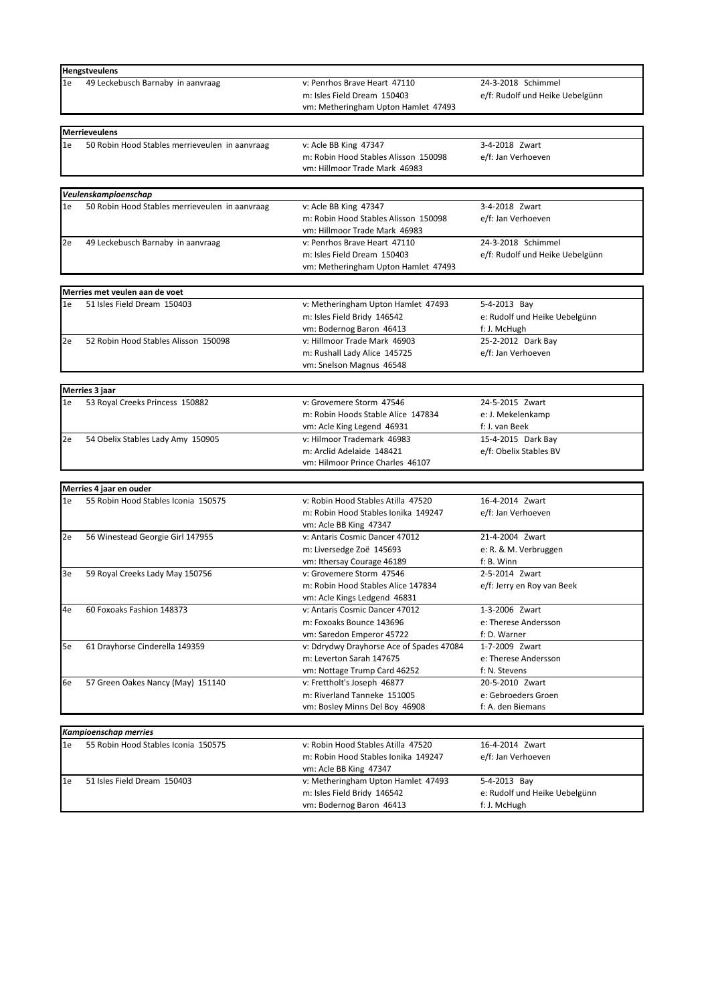|    | <b>Hengstveulens</b>                           |                                                                                                      |                                                               |
|----|------------------------------------------------|------------------------------------------------------------------------------------------------------|---------------------------------------------------------------|
| 1e | 49 Leckebusch Barnaby in aanvraag              | v: Penrhos Brave Heart 47110<br>m: Isles Field Dream 150403<br>vm: Metheringham Upton Hamlet 47493   | 24-3-2018 Schimmel<br>e/f: Rudolf und Heike Uebelgünn         |
|    | <b>Merrieveulens</b>                           |                                                                                                      |                                                               |
| 1e | 50 Robin Hood Stables merrieveulen in aanvraag | v: Acle BB King 47347<br>m: Robin Hood Stables Alisson 150098<br>vm: Hillmoor Trade Mark 46983       | 3-4-2018 Zwart<br>e/f: Jan Verhoeven                          |
|    | Veulenskampioenschap                           |                                                                                                      |                                                               |
| 1e | 50 Robin Hood Stables merrieveulen in aanvraag | v: Acle BB King 47347                                                                                | 3-4-2018 Zwart                                                |
|    |                                                | m: Robin Hood Stables Alisson 150098<br>vm: Hillmoor Trade Mark 46983                                | e/f: Jan Verhoeven                                            |
| 2e | 49 Leckebusch Barnaby in aanvraag              | v: Penrhos Brave Heart 47110<br>m: Isles Field Dream 150403<br>vm: Metheringham Upton Hamlet 47493   | 24-3-2018 Schimmel<br>e/f: Rudolf und Heike Uebelgünn         |
|    | Merries met veulen aan de voet                 |                                                                                                      |                                                               |
| 1e | 51 Isles Field Dream 150403                    | v: Metheringham Upton Hamlet 47493<br>m: Isles Field Bridy 146542<br>vm: Bodernog Baron 46413        | 5-4-2013 Bay<br>e: Rudolf und Heike Uebelgünn<br>f: J. McHugh |
| 2e | 52 Robin Hood Stables Alisson 150098           | v: Hillmoor Trade Mark 46903<br>m: Rushall Lady Alice 145725<br>vm: Snelson Magnus 46548             | 25-2-2012 Dark Bay<br>e/f: Jan Verhoeven                      |
|    | Merries 3 jaar                                 |                                                                                                      |                                                               |
| 1e | 53 Royal Creeks Princess 150882                | v: Grovemere Storm 47546<br>m: Robin Hoods Stable Alice 147834<br>vm: Acle King Legend 46931         | 24-5-2015 Zwart<br>e: J. Mekelenkamp<br>f: J. van Beek        |
| 2e | 54 Obelix Stables Lady Amy 150905              | v: Hilmoor Trademark 46983<br>m: Arclid Adelaide 148421<br>vm: Hilmoor Prince Charles 46107          | 15-4-2015 Dark Bay<br>e/f: Obelix Stables BV                  |
|    | Merries 4 jaar en ouder                        |                                                                                                      |                                                               |
| 1e | 55 Robin Hood Stables Iconia 150575            | v: Robin Hood Stables Atilla 47520<br>m: Robin Hood Stables Ionika 149247<br>vm: Acle BB King 47347  | 16-4-2014 Zwart<br>e/f: Jan Verhoeven                         |
| 2e | 56 Winestead Georgie Girl 147955               | v: Antaris Cosmic Dancer 47012<br>m: Liversedge Zoë 145693<br>vm: Ithersay Courage 46189             | 21-4-2004 Zwart<br>e: R. & M. Verbruggen<br>f: B. Winn        |
| 3e | 59 Royal Creeks Lady May 150756                | v: Grovemere Storm 47546<br>m: Robin Hood Stables Alice 147834<br>vm: Acle Kings Ledgend 46831       | 2-5-2014 Zwart<br>e/f: Jerry en Roy van Beek                  |
| 4e | 60 Foxoaks Fashion 148373                      | v: Antaris Cosmic Dancer 47012<br>m: Foxoaks Bounce 143696<br>vm: Saredon Emperor 45722              | 1-3-2006 Zwart<br>e: Therese Andersson<br>f: D. Warner        |
| 5e | 61 Drayhorse Cinderella 149359                 | v: Ddrydwy Drayhorse Ace of Spades 47084<br>m: Leverton Sarah 147675<br>vm: Nottage Trump Card 46252 | 1-7-2009 Zwart<br>e: Therese Andersson<br>f: N. Stevens       |
| 6e | 57 Green Oakes Nancy (May) 151140              | v: Frettholt's Joseph 46877<br>m: Riverland Tanneke 151005<br>vm: Bosley Minns Del Boy 46908         | 20-5-2010 Zwart<br>e: Gebroeders Groen<br>f: A. den Biemans   |
|    | <b>Kampioenschap merries</b>                   |                                                                                                      |                                                               |
| 1e | 55 Robin Hood Stables Iconia 150575            | v: Robin Hood Stables Atilla 47520<br>m: Robin Hood Stables Ionika 149247<br>vm: Acle BB King 47347  | 16-4-2014 Zwart<br>e/f: Jan Verhoeven                         |
| 1e | 51 Isles Field Dream 150403                    | v: Metheringham Upton Hamlet 47493                                                                   | 5-4-2013 Bay                                                  |

m: Isles Field Bridy 146542<br>wm: Bodernog Baron 46413

e: Rudolf und Heike Uebelgünn<br>f: J. McHugh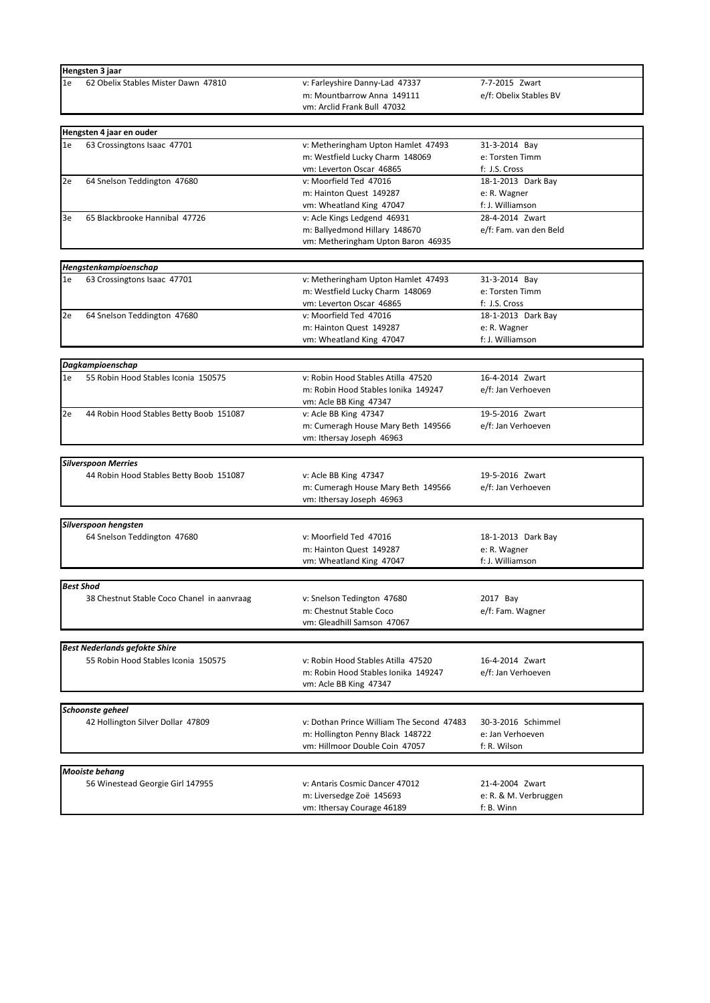|    | Hengsten 3 jaar                                     |                                                                                                                 |                                                        |
|----|-----------------------------------------------------|-----------------------------------------------------------------------------------------------------------------|--------------------------------------------------------|
| 1e | 62 Obelix Stables Mister Dawn 47810                 | v: Farleyshire Danny-Lad 47337<br>m: Mountbarrow Anna 149111<br>vm: Arclid Frank Bull 47032                     | 7-7-2015 Zwart<br>e/f: Obelix Stables BV               |
|    |                                                     |                                                                                                                 |                                                        |
|    | Hengsten 4 jaar en ouder                            |                                                                                                                 |                                                        |
| 1e | 63 Crossingtons Isaac 47701                         | v: Metheringham Upton Hamlet 47493<br>m: Westfield Lucky Charm 148069<br>vm: Leverton Oscar 46865               | 31-3-2014 Bay<br>e: Torsten Timm<br>f: J.S. Cross      |
| 2e | 64 Snelson Teddington 47680                         | v: Moorfield Ted 47016<br>m: Hainton Quest 149287<br>vm: Wheatland King 47047                                   | 18-1-2013 Dark Bay<br>e: R. Wagner<br>f: J. Williamson |
| 3e | 65 Blackbrooke Hannibal 47726                       | v: Acle Kings Ledgend 46931<br>m: Ballyedmond Hillary 148670<br>vm: Metheringham Upton Baron 46935              | 28-4-2014 Zwart<br>e/f: Fam. van den Beld              |
|    | Hengstenkampioenschap                               |                                                                                                                 |                                                        |
| 1e | 63 Crossingtons Isaac 47701                         | v: Metheringham Upton Hamlet 47493<br>m: Westfield Lucky Charm 148069<br>vm: Leverton Oscar 46865               | 31-3-2014 Bay<br>e: Torsten Timm<br>f: J.S. Cross      |
| 2e | 64 Snelson Teddington 47680                         | v: Moorfield Ted 47016<br>m: Hainton Quest 149287<br>vm: Wheatland King 47047                                   | 18-1-2013 Dark Bay<br>e: R. Wagner<br>f: J. Williamson |
|    | Dagkampioenschap                                    |                                                                                                                 |                                                        |
| 1e | 55 Robin Hood Stables Iconia 150575                 | v: Robin Hood Stables Atilla 47520<br>m: Robin Hood Stables Jonika 149247<br>vm: Acle BB King 47347             | 16-4-2014 Zwart<br>e/f: Jan Verhoeven                  |
| 2e | 44 Robin Hood Stables Betty Boob 151087             | v: Acle BB King 47347<br>m: Cumeragh House Mary Beth 149566<br>vm: Ithersay Joseph 46963                        | 19-5-2016 Zwart<br>e/f: Jan Verhoeven                  |
|    | <b>Silverspoon Merries</b>                          |                                                                                                                 |                                                        |
|    | 44 Robin Hood Stables Betty Boob 151087             | v: Acle BB King 47347<br>m: Cumeragh House Mary Beth 149566<br>vm: Ithersay Joseph 46963                        | 19-5-2016 Zwart<br>e/f: Jan Verhoeven                  |
|    |                                                     |                                                                                                                 |                                                        |
|    | Silverspoon hengsten<br>64 Snelson Teddington 47680 | v: Moorfield Ted 47016<br>m: Hainton Quest 149287<br>vm: Wheatland King 47047                                   | 18-1-2013 Dark Bay<br>e: R. Wagner<br>f: J. Williamson |
|    | <b>Best Shod</b>                                    |                                                                                                                 |                                                        |
|    | 38 Chestnut Stable Coco Chanel in aanvraag          | v: Snelson Tedington 47680<br>m: Chestnut Stable Coco<br>vm: Gleadhill Samson 47067                             | 2017 Bay<br>e/f: Fam. Wagner                           |
|    | <b>Best Nederlands gefokte Shire</b>                |                                                                                                                 |                                                        |
|    | 55 Robin Hood Stables Iconia 150575                 | v: Robin Hood Stables Atilla 47520<br>m: Robin Hood Stables Ionika 149247<br>vm: Acle BB King 47347             | 16-4-2014 Zwart<br>e/f: Jan Verhoeven                  |
|    | Schoonste geheel                                    |                                                                                                                 |                                                        |
|    | 42 Hollington Silver Dollar 47809                   | v: Dothan Prince William The Second 47483<br>m: Hollington Penny Black 148722<br>vm: Hillmoor Double Coin 47057 | 30-3-2016 Schimmel<br>e: Jan Verhoeven<br>f: R. Wilson |
|    | <b>Mooiste behang</b>                               |                                                                                                                 |                                                        |
|    | 56 Winestead Georgie Girl 147955                    | v: Antaris Cosmic Dancer 47012<br>m: Liversedge Zoë 145693<br>vm: Ithersay Courage 46189                        | 21-4-2004 Zwart<br>e: R. & M. Verbruggen<br>f: B. Winn |